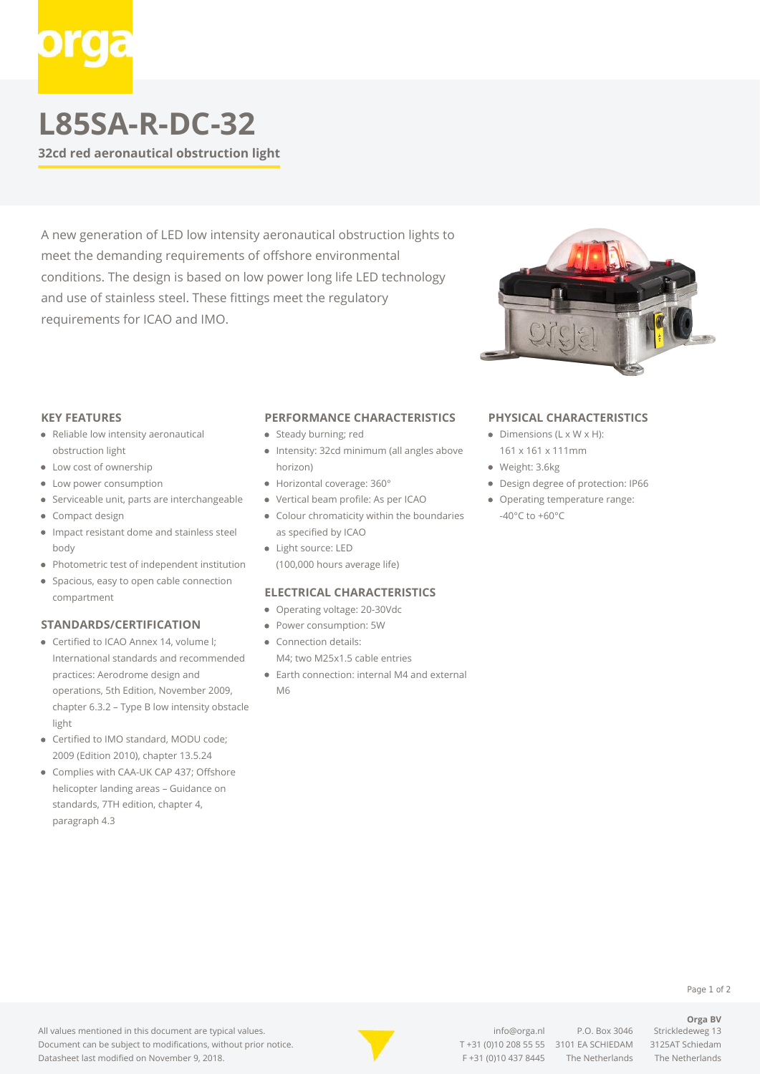# **L85SA-R-DC-32**

**32cd red aeronautical obstruction light**

A new generation of LED low intensity aeronautical obstruction lights to meet the demanding requirements of offshore environmental conditions. The design is based on low power long life LED technology and use of stainless steel. These fittings meet the regulatory requirements for ICAO and IMO.



#### **KEY FEATURES**

- Reliable low intensity aeronautical obstruction light
- Low cost of ownership
- Low power consumption
- Serviceable unit, parts are interchangeable
- Compact design
- Impact resistant dome and stainless steel body
- Photometric test of independent institution
- Spacious, easy to open cable connection compartment

## **STANDARDS/CERTIFICATION**

- Certified to ICAO Annex 14, volume I: International standards and recommended practices: Aerodrome design and operations, 5th Edition, November 2009, chapter 6.3.2 – Type B low intensity obstacle light
- Certified to IMO standard, MODU code; 2009 (Edition 2010), chapter 13.5.24
- Complies with CAA-UK CAP 437; Offshore helicopter landing areas – Guidance on standards, 7TH edition, chapter 4, paragraph 4.3

### **PERFORMANCE CHARACTERISTICS**

- Steady burning; red
- Intensity: 32cd minimum (all angles above horizon)
- Horizontal coverage: 360°
- Vertical beam profile: As per ICAO
- Colour chromaticity within the boundaries as specified by ICAO
- Light source: LED (100,000 hours average life)

## **ELECTRICAL CHARACTERISTICS**

- Operating voltage: 20-30Vdc
- Power consumption: 5W
- Connection details: M4; two M25x1.5 cable entries
- Earth connection: internal M4 and external M6

#### **PHYSICAL CHARACTERISTICS**

- $\bullet$  Dimensions (L x W x H): 161 x 161 x 111mm
- Weight: 3.6kg
- Design degree of protection: IP66
- Operating temperature range: -40°C to +60°C

#### Page 1 of 2

**Orga BV**

All values mentioned in this document are typical values. Document can be subject to modifications, without prior notice. Datasheet last modified on November 9, 2018.



[info@orga.nl](mailto:info@orga.nl) P.O. Box 3046 Strickledeweg 13 T [+31 \(0\)10 208 55 55](#page--1-0) 3101 EA SCHIEDAM 3125AT Schiedam F +31 (0)10 437 8445 The Netherlands The Netherlands